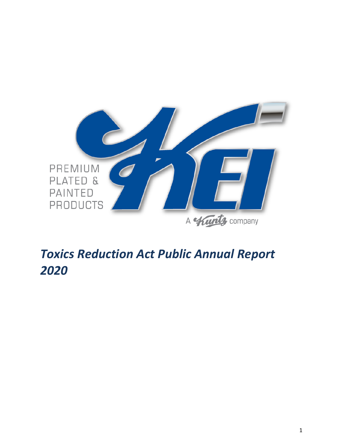

# *Toxics Reduction Act Public Annual Report*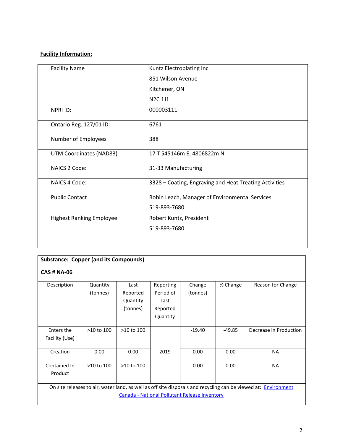# **Facility Information:**

| <b>Facility Name</b>            | Kuntz Electroplating Inc                               |
|---------------------------------|--------------------------------------------------------|
|                                 | 851 Wilson Avenue                                      |
|                                 | Kitchener, ON                                          |
|                                 | <b>N2C 1J1</b>                                         |
| <b>NPRI ID:</b>                 | 000003111                                              |
| Ontario Reg. 127/01 ID:         | 6761                                                   |
| Number of Employees             | 388                                                    |
| UTM Coordinates (NAD83)         | 17 T 545146m E, 4806822m N                             |
| NAICS 2 Code:                   | 31-33 Manufacturing                                    |
| NAICS 4 Code:                   | 3328 - Coating, Engraving and Heat Treating Activities |
| <b>Public Contact</b>           | Robin Leach, Manager of Environmental Services         |
|                                 | 519-893-7680                                           |
| <b>Highest Ranking Employee</b> | Robert Kuntz, President                                |
|                                 | 519-893-7680                                           |
|                                 |                                                        |
|                                 |                                                        |

| <b>Substance: Copper (and its Compounds)</b> |                                                                                                                |                |           |          |          |                        |  |  |
|----------------------------------------------|----------------------------------------------------------------------------------------------------------------|----------------|-----------|----------|----------|------------------------|--|--|
|                                              |                                                                                                                |                |           |          |          |                        |  |  |
| <b>CAS # NA-06</b>                           |                                                                                                                |                |           |          |          |                        |  |  |
|                                              |                                                                                                                |                |           |          |          |                        |  |  |
| Description                                  | Quantity                                                                                                       | Last           | Reporting | Change   | % Change | Reason for Change      |  |  |
|                                              | (tonnes)                                                                                                       | Reported       | Period of | (tonnes) |          |                        |  |  |
|                                              |                                                                                                                | Quantity       | Last      |          |          |                        |  |  |
|                                              |                                                                                                                | (tonnes)       | Reported  |          |          |                        |  |  |
|                                              |                                                                                                                |                | Quantity  |          |          |                        |  |  |
|                                              |                                                                                                                |                |           |          |          |                        |  |  |
| Enters the                                   | >10 to 100                                                                                                     | $>10$ to $100$ |           | $-19.40$ | $-49.85$ | Decrease in Production |  |  |
| Facility (Use)                               |                                                                                                                |                |           |          |          |                        |  |  |
|                                              |                                                                                                                |                |           |          |          |                        |  |  |
| Creation                                     | 0.00                                                                                                           | 0.00           | 2019      | 0.00     | 0.00     | <b>NA</b>              |  |  |
|                                              |                                                                                                                |                |           |          |          |                        |  |  |
| Contained In                                 | >10 to 100                                                                                                     | $>10$ to $100$ |           | 0.00     | 0.00     | <b>NA</b>              |  |  |
| Product                                      |                                                                                                                |                |           |          |          |                        |  |  |
|                                              |                                                                                                                |                |           |          |          |                        |  |  |
|                                              | On site releases to air, water land, as well as off site disposals and recycling can be viewed at: Environment |                |           |          |          |                        |  |  |
|                                              | Canada - National Pollutant Release Inventory                                                                  |                |           |          |          |                        |  |  |
|                                              |                                                                                                                |                |           |          |          |                        |  |  |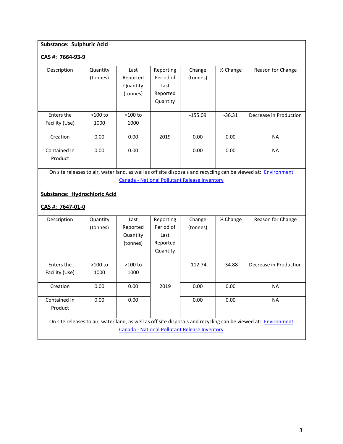# **Substance: Sulphuric Acid**

## **CAS #: 7664-93-9**

| Description    | Quantity  | Last      | Reporting | Change    | % Change | Reason for Change      |
|----------------|-----------|-----------|-----------|-----------|----------|------------------------|
|                | (tonnes)  | Reported  | Period of | (tonnes)  |          |                        |
|                |           | Quantity  | Last      |           |          |                        |
|                |           | (tonnes)  | Reported  |           |          |                        |
|                |           |           | Quantity  |           |          |                        |
|                |           |           |           |           |          |                        |
| Enters the     | $>100$ to | $>100$ to |           | $-155.09$ | $-36.31$ | Decrease in Production |
| Facility (Use) | 1000      | 1000      |           |           |          |                        |
|                |           |           |           |           |          |                        |
| Creation       | 0.00      | 0.00      | 2019      | 0.00      | 0.00     | <b>NA</b>              |
|                |           |           |           |           |          |                        |
| Contained In   | 0.00      | 0.00      |           | 0.00      | 0.00     | <b>NA</b>              |
| Product        |           |           |           |           |          |                        |
|                |           |           |           |           |          |                        |

On site releases to air, water land, as well as off site disposals and recycling can be viewed at: **Environment** Canada - [National Pollutant Release Inventory](http://www.ec.gc.ca/inrp-npri/default.asp?lang=En&n=4A577BB9-1)

## **Substance: Hydrochloric Acid**

## **CAS #: 7647-01-0**

| Description                                                                                                    | Quantity  | Last      | Reporting | Change                                        | % Change | Reason for Change      |  |
|----------------------------------------------------------------------------------------------------------------|-----------|-----------|-----------|-----------------------------------------------|----------|------------------------|--|
|                                                                                                                | (tonnes)  | Reported  | Period of | (tonnes)                                      |          |                        |  |
|                                                                                                                |           | Quantity  | Last      |                                               |          |                        |  |
|                                                                                                                |           | (tonnes)  | Reported  |                                               |          |                        |  |
|                                                                                                                |           |           | Quantity  |                                               |          |                        |  |
|                                                                                                                |           |           |           |                                               |          |                        |  |
| Enters the                                                                                                     | $>100$ to | $>100$ to |           | $-112.74$                                     | $-34.88$ | Decrease in Production |  |
| Facility (Use)                                                                                                 | 1000      | 1000      |           |                                               |          |                        |  |
|                                                                                                                |           |           |           |                                               |          |                        |  |
| Creation                                                                                                       | 0.00      | 0.00      | 2019      | 0.00                                          | 0.00     | <b>NA</b>              |  |
|                                                                                                                |           |           |           |                                               |          |                        |  |
| Contained In                                                                                                   | 0.00      | 0.00      |           | 0.00                                          | 0.00     | <b>NA</b>              |  |
| Product                                                                                                        |           |           |           |                                               |          |                        |  |
|                                                                                                                |           |           |           |                                               |          |                        |  |
| On site releases to air, water land, as well as off site disposals and recycling can be viewed at: Environment |           |           |           |                                               |          |                        |  |
|                                                                                                                |           |           |           | Canada - National Pollutant Release Inventory |          |                        |  |
|                                                                                                                |           |           |           |                                               |          |                        |  |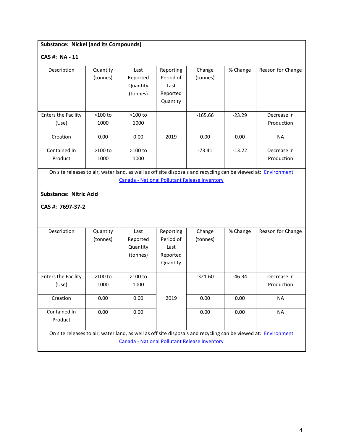## **Substance: Nickel (and its Compounds)**

## **CAS #: NA - 11**

| Description                | Quantity  | Last      | Reporting | Change    | % Change | Reason for Change |
|----------------------------|-----------|-----------|-----------|-----------|----------|-------------------|
|                            | (tonnes)  | Reported  | Period of | (tonnes)  |          |                   |
|                            |           | Quantity  | Last      |           |          |                   |
|                            |           | (tonnes)  | Reported  |           |          |                   |
|                            |           |           | Quantity  |           |          |                   |
|                            |           |           |           |           |          |                   |
| <b>Enters the Facility</b> | $>100$ to | $>100$ to |           | $-165.66$ | $-23.29$ | Decrease in       |
| (Use)                      | 1000      | 1000      |           |           |          | Production        |
|                            |           |           |           |           |          |                   |
| Creation                   | 0.00      | 0.00      | 2019      | 0.00      | 0.00     | <b>NA</b>         |
|                            |           |           |           |           |          |                   |
| Contained In               | $>100$ to | $>100$ to |           | $-73.41$  | $-13.22$ | Decrease in       |
| Product                    | 1000      | 1000      |           |           |          | Production        |
|                            |           |           |           |           |          |                   |

On site releases to air, water land, as well as off site disposals and recycling can be viewed at: **Environment** Canada - [National Pollutant Release Inventory](http://www.ec.gc.ca/inrp-npri/default.asp?lang=En&n=4A577BB9-1)

## **Substance: Nitric Acid**

**CAS #: 7697-37-2**

| Description                                                                                                    | Quantity | Last     | Reporting | Change    | % Change | Reason for Change |
|----------------------------------------------------------------------------------------------------------------|----------|----------|-----------|-----------|----------|-------------------|
|                                                                                                                | (tonnes) | Reported | Period of | (tonnes)  |          |                   |
|                                                                                                                |          | Quantity | Last      |           |          |                   |
|                                                                                                                |          | (tonnes) | Reported  |           |          |                   |
|                                                                                                                |          |          | Quantity  |           |          |                   |
|                                                                                                                |          |          |           |           |          |                   |
| <b>Enters the Facility</b>                                                                                     | >100 to  | >100 to  |           | $-321.60$ | -46.34   | Decrease in       |
| (Use)                                                                                                          | 1000     | 1000     |           |           |          | Production        |
|                                                                                                                |          |          |           |           |          |                   |
| Creation                                                                                                       | 0.00     | 0.00     | 2019      | 0.00      | 0.00     | <b>NA</b>         |
|                                                                                                                |          |          |           |           |          |                   |
| Contained In                                                                                                   | 0.00     | 0.00     |           | 0.00      | 0.00     | <b>NA</b>         |
| Product                                                                                                        |          |          |           |           |          |                   |
|                                                                                                                |          |          |           |           |          |                   |
| On site releases to air, water land, as well as off site disposals and recycling can be viewed at: Environment |          |          |           |           |          |                   |
| Canada - National Pollutant Release Inventory                                                                  |          |          |           |           |          |                   |
|                                                                                                                |          |          |           |           |          |                   |